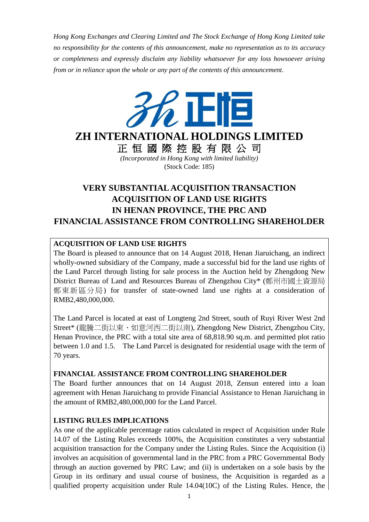*Hong Kong Exchanges and Clearing Limited and The Stock Exchange of Hong Kong Limited take no responsibility for the contents of this announcement, make no representation as to its accuracy or completeness and expressly disclaim any liability whatsoever for any loss howsoever arising from or in reliance upon the whole or any part of the contents of this announcement.*



**ZH INTERNATIONAL HOLDINGS LIMITED**

正 恒 國 際 控 股 有 限 公 司 *(Incorporated in Hong Kong with limited liability)* (Stock Code: 185)

# **VERY SUBSTANTIAL ACQUISITION TRANSACTION ACQUISITION OF LAND USE RIGHTS IN HENAN PROVINCE, THE PRC AND FINANCIAL ASSISTANCE FROM CONTROLLING SHAREHOLDER**

## **ACQUISITION OF LAND USE RIGHTS**

The Board is pleased to announce that on 14 August 2018, Henan Jiaruichang, an indirect wholly-owned subsidiary of the Company, made a successful bid for the land use rights of the Land Parcel through listing for sale process in the Auction held by Zhengdong New District Bureau of Land and Resources Bureau of Zhengzhou City\* (鄭州市國土資源局 鄭東新區分局) for transfer of state-owned land use rights at a consideration of RMB2,480,000,000.

The Land Parcel is located at east of Longteng 2nd Street, south of Ruyi River West 2nd Street\* (龍騰二街以東、如意河西二街以南), Zhengdong New District, Zhengzhou City, Henan Province, the PRC with a total site area of 68,818.90 sq.m. and permitted plot ratio between 1.0 and 1.5. The Land Parcel is designated for residential usage with the term of 70 years.

## **FINANCIAL ASSISTANCE FROM CONTROLLING SHAREHOLDER**

The Board further announces that on 14 August 2018, Zensun entered into a loan agreement with Henan Jiaruichang to provide Financial Assistance to Henan Jiaruichang in the amount of RMB2,480,000,000 for the Land Parcel.

## **LISTING RULES IMPLICATIONS**

As one of the applicable percentage ratios calculated in respect of Acquisition under Rule 14.07 of the Listing Rules exceeds 100%, the Acquisition constitutes a very substantial acquisition transaction for the Company under the Listing Rules. Since the Acquisition (i) involves an acquisition of governmental land in the PRC from a PRC Governmental Body through an auction governed by PRC Law; and (ii) is undertaken on a sole basis by the Group in its ordinary and usual course of business, the Acquisition is regarded as a qualified property acquisition under Rule 14.04(10C) of the Listing Rules. Hence, the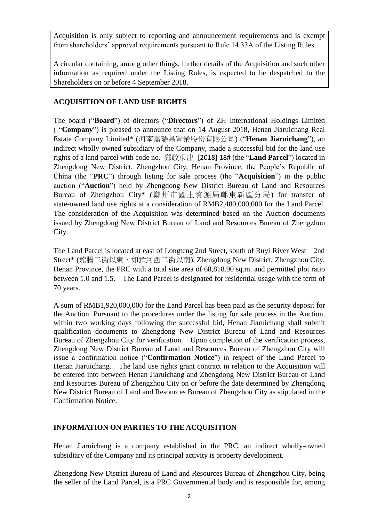Acquisition is only subject to reporting and announcement requirements and is exempt from shareholders' approval requirements pursuant to Rule 14.33A of the Listing Rules.

A circular containing, among other things, further details of the Acquisition and such other information as required under the Listing Rules, is expected to be despatched to the Shareholders on or before 4 September 2018.

## **ACQUISITION OF LAND USE RIGHTS**

The board ("**Board**") of directors ("**Directors**") of ZH International Holdings Limited ( "**Company**") is pleased to announce that on 14 August 2018, Henan Jiaruichang Real Estate Company Limited\* (河南嘉瑞昌置業股份有限公司) ("**Henan Jiaruichang**"), an indirect wholly-owned subsidiary of the Company, made a successful bid for the land use rights of a land parcel with code no. 鄭政東出 [2018] 18# (the "**Land Parcel**") located in Zhengdong New District, Zhengzhou City, Henan Province, the People's Republic of China (the "**PRC**") through listing for sale process (the "**Acquisition**") in the public auction ("**Auction**") held by Zhengdong New District Bureau of Land and Resources Bureau of Zhengzhou City\* (鄭州市國土資源局鄭東新區分局) for transfer of state-owned land use rights at a consideration of RMB2,480,000,000 for the Land Parcel. The consideration of the Acquisition was determined based on the Auction documents issued by Zhengdong New District Bureau of Land and Resources Bureau of Zhengzhou City.

The Land Parcel is located at east of Longteng 2nd Street, south of Ruyi River West 2nd Street\* (龍騰二街以東、如意河西二街以南), Zhengdong New District, Zhengzhou City, Henan Province, the PRC with a total site area of 68,818.90 sq.m. and permitted plot ratio between 1.0 and 1.5. The Land Parcel is designated for residential usage with the term of 70 years.

A sum of RMB1,920,000,000 for the Land Parcel has been paid as the security deposit for the Auction. Pursuant to the procedures under the listing for sale process in the Auction, within two working days following the successful bid, Henan Jiaruichang shall submit qualification documents to Zhengdong New District Bureau of Land and Resources Bureau of Zhengzhou City for verification. Upon completion of the verification process, Zhengdong New District Bureau of Land and Resources Bureau of Zhengzhou City will issue a confirmation notice ("**Confirmation Notice**") in respect of the Land Parcel to Henan Jiaruichang. The land use rights grant contract in relation to the Acquisition will be entered into between Henan Jiaruichang and Zhengdong New District Bureau of Land and Resources Bureau of Zhengzhou City on or before the date determined by Zhengdong New District Bureau of Land and Resources Bureau of Zhengzhou City as stipulated in the Confirmation Notice.

## **INFORMATION ON PARTIES TO THE ACQUISITION**

Henan Jiaruichang is a company established in the PRC, an indirect wholly-owned subsidiary of the Company and its principal activity is property development.

Zhengdong New District Bureau of Land and Resources Bureau of Zhengzhou City, being the seller of the Land Parcel, is a PRC Governmental body and is responsible for, among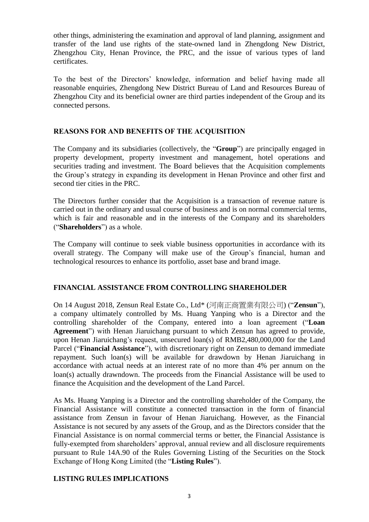other things, administering the examination and approval of land planning, assignment and transfer of the land use rights of the state-owned land in Zhengdong New District, Zhengzhou City, Henan Province, the PRC, and the issue of various types of land certificates.

To the best of the Directors' knowledge, information and belief having made all reasonable enquiries, Zhengdong New District Bureau of Land and Resources Bureau of Zhengzhou City and its beneficial owner are third parties independent of the Group and its connected persons.

#### **REASONS FOR AND BENEFITS OF THE ACQUISITION**

The Company and its subsidiaries (collectively, the "**Group**") are principally engaged in property development, property investment and management, hotel operations and securities trading and investment. The Board believes that the Acquisition complements the Group's strategy in expanding its development in Henan Province and other first and second tier cities in the PRC.

The Directors further consider that the Acquisition is a transaction of revenue nature is carried out in the ordinary and usual course of business and is on normal commercial terms, which is fair and reasonable and in the interests of the Company and its shareholders ("**Shareholders**") as a whole.

The Company will continue to seek viable business opportunities in accordance with its overall strategy. The Company will make use of the Group's financial, human and technological resources to enhance its portfolio, asset base and brand image.

#### **FINANCIAL ASSISTANCE FROM CONTROLLING SHAREHOLDER**

On 14 August 2018, Zensun Real Estate Co., Ltd\* (河南正商置業有限公司) ("**Zensun**"), a company ultimately controlled by Ms. Huang Yanping who is a Director and the controlling shareholder of the Company, entered into a loan agreement ("**Loan Agreement**") with Henan Jiaruichang pursuant to which Zensun has agreed to provide, upon Henan Jiaruichang's request, unsecured loan(s) of RMB2,480,000,000 for the Land Parcel ("**Financial Assistance**"), with discretionary right on Zensun to demand immediate repayment. Such loan(s) will be available for drawdown by Henan Jiaruichang in accordance with actual needs at an interest rate of no more than 4% per annum on the loan(s) actually drawndown. The proceeds from the Financial Assistance will be used to finance the Acquisition and the development of the Land Parcel.

As Ms. Huang Yanping is a Director and the controlling shareholder of the Company, the Financial Assistance will constitute a connected transaction in the form of financial assistance from Zensun in favour of Henan Jiaruichang. However, as the Financial Assistance is not secured by any assets of the Group, and as the Directors consider that the Financial Assistance is on normal commercial terms or better, the Financial Assistance is fully-exempted from shareholders' approval, annual review and all disclosure requirements pursuant to Rule 14A.90 of the Rules Governing Listing of the Securities on the Stock Exchange of Hong Kong Limited (the "**Listing Rules**").

#### **LISTING RULES IMPLICATIONS**